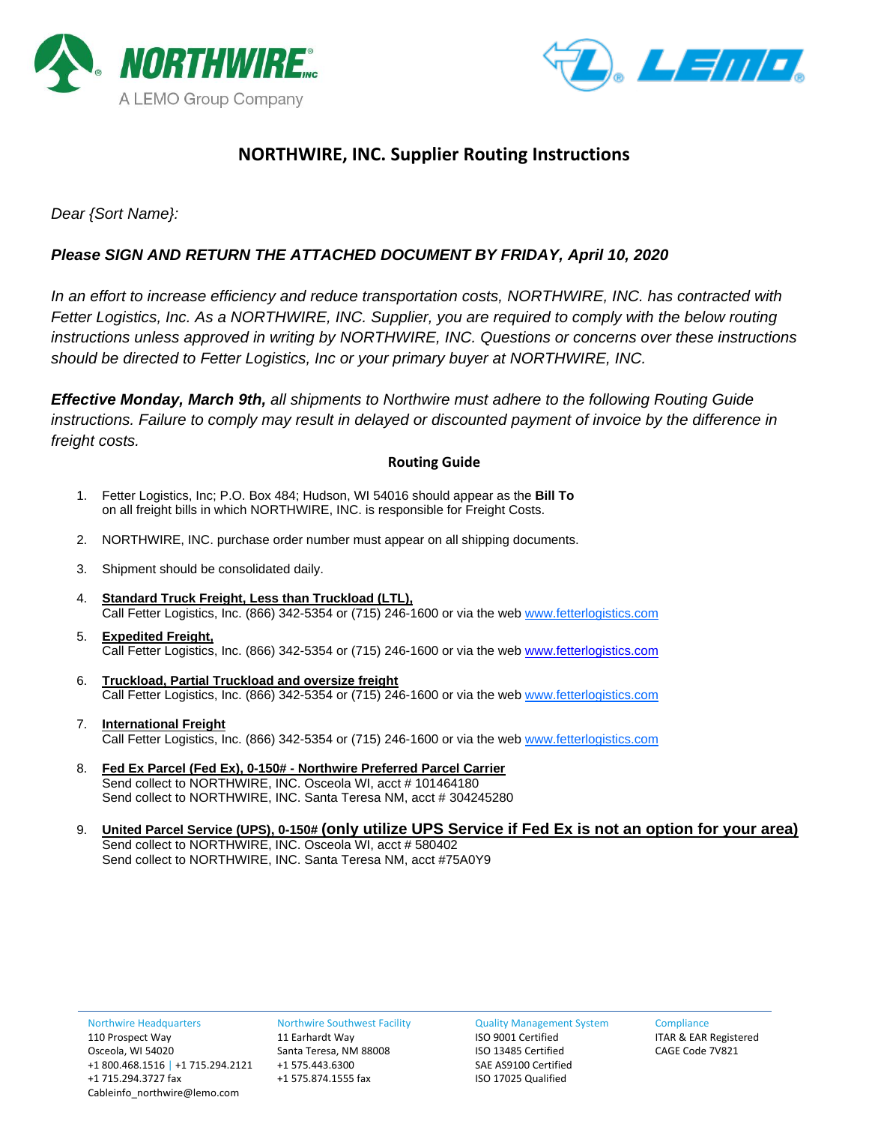



## **NORTHWIRE, INC. Supplier Routing Instructions**

### *Dear {Sort Name}:*

## *Please SIGN AND RETURN THE ATTACHED DOCUMENT BY FRIDAY, April 10, 2020*

*In an effort to increase efficiency and reduce transportation costs, NORTHWIRE, INC. has contracted with Fetter Logistics, Inc. As a NORTHWIRE, INC. Supplier, you are required to comply with the below routing instructions unless approved in writing by NORTHWIRE, INC. Questions or concerns over these instructions should be directed to Fetter Logistics, Inc or your primary buyer at NORTHWIRE, INC.*

*Effective Monday, March 9th, all shipments to Northwire must adhere to the following Routing Guide instructions. Failure to comply may result in delayed or discounted payment of invoice by the difference in freight costs.*

#### **Routing Guide**

- 1. Fetter Logistics, Inc; P.O. Box 484; Hudson, WI 54016 should appear as the **Bill To** on all freight bills in which NORTHWIRE, INC. is responsible for Freight Costs.
- 2. NORTHWIRE, INC. purchase order number must appear on all shipping documents.
- 3. Shipment should be consolidated daily.
- 4. **Standard Truck Freight, Less than Truckload (LTL),**  Call Fetter Logistics, Inc. (866) 342-5354 or (715) 246-1600 or via the web www.fetterlogistics.com
- 5. **Expedited Freight,** Call Fetter Logistics, Inc. (866) 342-5354 or (715) 246-1600 or via the web [www.fetterlogistics.com](http://www.fetterlogistics.com/)
- 6. **Truckload, Partial Truckload and oversize freight** Call Fetter Logistics, Inc. (866) 342-5354 or (715) 246-1600 or via the web [www.fetterlogistics.com](http://www.fetterlogistics.com/)
- 7. **International Freight** Call Fetter Logistics, Inc. (866) 342-5354 or (715) 246-1600 or via the web [www.fetterlogistics.com](http://www.fetterlogistics.com/)
- 8. **Fed Ex Parcel (Fed Ex), 0-150# - Northwire Preferred Parcel Carrier** Send collect to NORTHWIRE, INC. Osceola WI, acct # 101464180 Send collect to NORTHWIRE, INC. Santa Teresa NM, acct # 304245280
- 9. **United Parcel Service (UPS), 0-150# (only utilize UPS Service if Fed Ex is not an option for your area)** Send collect to NORTHWIRE, INC. Osceola WI, acct # 580402 Send collect to NORTHWIRE, INC. Santa Teresa NM, acct #75A0Y9

Northwire Southwest Facility 11 Earhardt Way Santa Teresa, NM 88008 +1 575.443.6300 +1 575.874.1555 fax

Quality Management System

ISO 9001 Certified ISO 13485 Certified SAE AS9100 Certified ISO 17025 Qualified

**Compliance** ITAR & EAR Registered CAGE Code 7V821